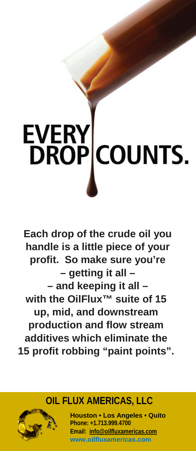# **EVERY**<br>DROP **COUNTS.**

**Each drop of the crude oil you handle is a little piece of your profit. So make sure you're – getting it all – – and keeping it all – with the OilFlux™ suite of 15 up, mid, and downstream production and flow stream additives which eliminate the 15 profit robbing "paint points".**

## **OIL FLUX AMERICAS, LLC**